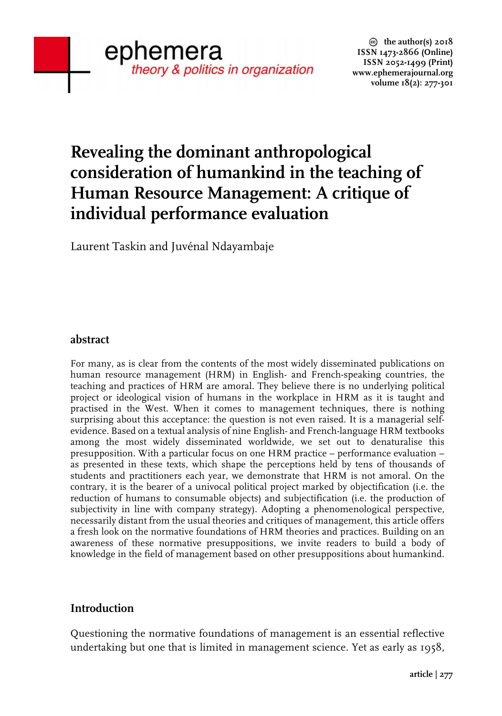# **Revealing the dominant anthropological consideration of humankind in the teaching of Human Resource Management: A critique of individual performance evaluation**

Laurent Taskin and Juvénal Ndayambaje

## **abstract**

For many, as is clear from the contents of the most widely disseminated publications on human resource management (HRM) in English- and French-speaking countries, the teaching and practices of HRM are amoral. They believe there is no underlying political project or ideological vision of humans in the workplace in HRM as it is taught and practised in the West. When it comes to management techniques, there is nothing surprising about this acceptance: the question is not even raised. It is a managerial selfevidence. Based on a textual analysis of nine English- and French-language HRM textbooks among the most widely disseminated worldwide, we set out to denaturalise this presupposition. With a particular focus on one HRM practice – performance evaluation – as presented in these texts, which shape the perceptions held by tens of thousands of students and practitioners each year, we demonstrate that HRM is not amoral. On the contrary, it is the bearer of a univocal political project marked by objectification (i.e. the reduction of humans to consumable objects) and subjectification (i.e. the production of subjectivity in line with company strategy). Adopting a phenomenological perspective, necessarily distant from the usual theories and critiques of management, this article offers a fresh look on the normative foundations of HRM theories and practices. Building on an awareness of these normative presuppositions, we invite readers to build a body of knowledge in the field of management based on other presuppositions about humankind.

## **Introduction**

Questioning the normative foundations of management is an essential reflective undertaking but one that is limited in management science. Yet as early as 1958,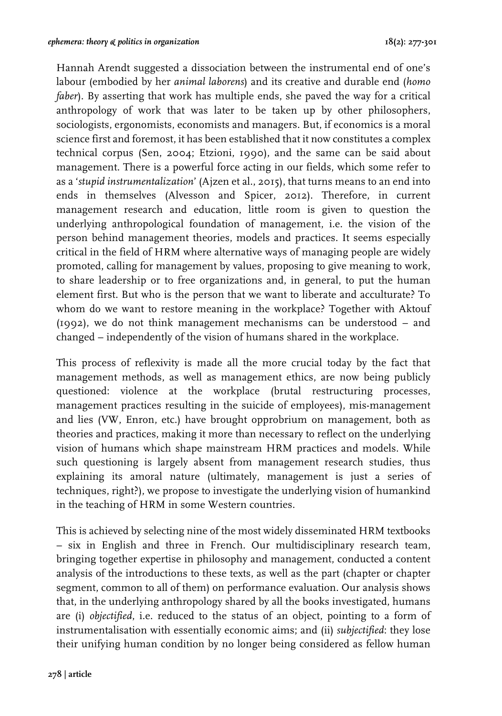Hannah Arendt suggested a dissociation between the instrumental end of one's labour (embodied by her *animal laborens*) and its creative and durable end (*homo faber*). By asserting that work has multiple ends, she paved the way for a critical anthropology of work that was later to be taken up by other philosophers, sociologists, ergonomists, economists and managers. But, if economics is a moral science first and foremost, it has been established that it now constitutes a complex technical corpus (Sen, 2004; Etzioni, 1990), and the same can be said about management. There is a powerful force acting in our fields, which some refer to as a '*stupid instrumentalization*' (Ajzen et al., 2015), that turns means to an end into ends in themselves (Alvesson and Spicer, 2012). Therefore, in current management research and education, little room is given to question the underlying anthropological foundation of management, i.e. the vision of the person behind management theories, models and practices. It seems especially critical in the field of HRM where alternative ways of managing people are widely promoted, calling for management by values, proposing to give meaning to work, to share leadership or to free organizations and, in general, to put the human element first. But who is the person that we want to liberate and acculturate? To whom do we want to restore meaning in the workplace? Together with Aktouf (1992), we do not think management mechanisms can be understood – and changed – independently of the vision of humans shared in the workplace.

This process of reflexivity is made all the more crucial today by the fact that management methods, as well as management ethics, are now being publicly questioned: violence at the workplace (brutal restructuring processes, management practices resulting in the suicide of employees), mis-management and lies (VW, Enron, etc.) have brought opprobrium on management, both as theories and practices, making it more than necessary to reflect on the underlying vision of humans which shape mainstream HRM practices and models. While such questioning is largely absent from management research studies, thus explaining its amoral nature (ultimately, management is just a series of techniques, right?), we propose to investigate the underlying vision of humankind in the teaching of HRM in some Western countries.

This is achieved by selecting nine of the most widely disseminated HRM textbooks – six in English and three in French. Our multidisciplinary research team, bringing together expertise in philosophy and management, conducted a content analysis of the introductions to these texts, as well as the part (chapter or chapter segment, common to all of them) on performance evaluation. Our analysis shows that, in the underlying anthropology shared by all the books investigated, humans are (i) *objectified*, i.e. reduced to the status of an object, pointing to a form of instrumentalisation with essentially economic aims; and (ii) *subjectified*: they lose their unifying human condition by no longer being considered as fellow human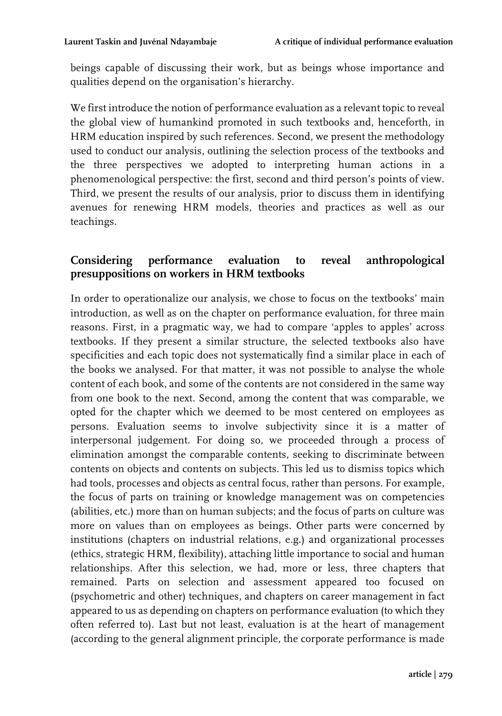beings capable of discussing their work, but as beings whose importance and qualities depend on the organisation's hierarchy.

We first introduce the notion of performance evaluation as a relevant topic to reveal the global view of humankind promoted in such textbooks and, henceforth, in HRM education inspired by such references. Second, we present the methodology used to conduct our analysis, outlining the selection process of the textbooks and the three perspectives we adopted to interpreting human actions in a phenomenological perspective: the first, second and third person's points of view. Third, we present the results of our analysis, prior to discuss them in identifying avenues for renewing HRM models, theories and practices as well as our teachings.

# **Considering performance evaluation to reveal anthropological presuppositions on workers in HRM textbooks**

In order to operationalize our analysis, we chose to focus on the textbooks' main introduction, as well as on the chapter on performance evaluation, for three main reasons. First, in a pragmatic way, we had to compare 'apples to apples' across textbooks. If they present a similar structure, the selected textbooks also have specificities and each topic does not systematically find a similar place in each of the books we analysed. For that matter, it was not possible to analyse the whole content of each book, and some of the contents are not considered in the same way from one book to the next. Second, among the content that was comparable, we opted for the chapter which we deemed to be most centered on employees as persons. Evaluation seems to involve subjectivity since it is a matter of interpersonal judgement. For doing so, we proceeded through a process of elimination amongst the comparable contents, seeking to discriminate between contents on objects and contents on subjects. This led us to dismiss topics which had tools, processes and objects as central focus, rather than persons. For example, the focus of parts on training or knowledge management was on competencies (abilities, etc.) more than on human subjects; and the focus of parts on culture was more on values than on employees as beings. Other parts were concerned by institutions (chapters on industrial relations, e.g.) and organizational processes (ethics, strategic HRM, flexibility), attaching little importance to social and human relationships. After this selection, we had, more or less, three chapters that remained. Parts on selection and assessment appeared too focused on (psychometric and other) techniques, and chapters on career management in fact appeared to us as depending on chapters on performance evaluation (to which they often referred to). Last but not least, evaluation is at the heart of management (according to the general alignment principle, the corporate performance is made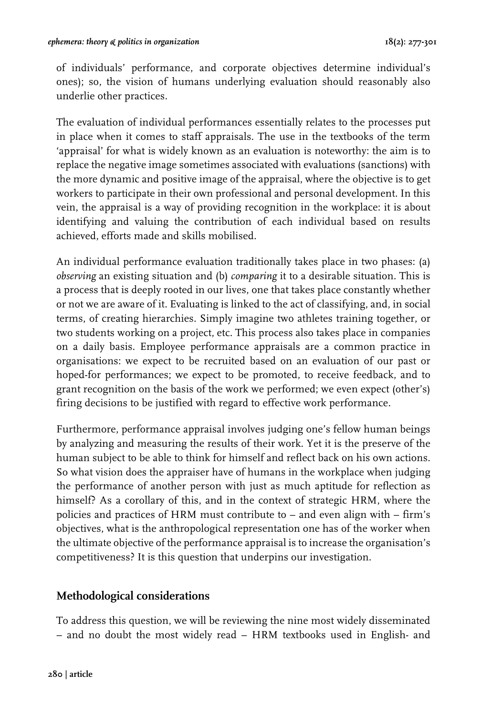of individuals' performance, and corporate objectives determine individual's ones); so, the vision of humans underlying evaluation should reasonably also underlie other practices.

The evaluation of individual performances essentially relates to the processes put in place when it comes to staff appraisals. The use in the textbooks of the term 'appraisal' for what is widely known as an evaluation is noteworthy: the aim is to replace the negative image sometimes associated with evaluations (sanctions) with the more dynamic and positive image of the appraisal, where the objective is to get workers to participate in their own professional and personal development. In this vein, the appraisal is a way of providing recognition in the workplace: it is about identifying and valuing the contribution of each individual based on results achieved, efforts made and skills mobilised.

An individual performance evaluation traditionally takes place in two phases: (a) *observing* an existing situation and (b) *comparing* it to a desirable situation. This is a process that is deeply rooted in our lives, one that takes place constantly whether or not we are aware of it. Evaluating is linked to the act of classifying, and, in social terms, of creating hierarchies. Simply imagine two athletes training together, or two students working on a project, etc. This process also takes place in companies on a daily basis. Employee performance appraisals are a common practice in organisations: we expect to be recruited based on an evaluation of our past or hoped-for performances; we expect to be promoted, to receive feedback, and to grant recognition on the basis of the work we performed; we even expect (other's) firing decisions to be justified with regard to effective work performance.

Furthermore, performance appraisal involves judging one's fellow human beings by analyzing and measuring the results of their work. Yet it is the preserve of the human subject to be able to think for himself and reflect back on his own actions. So what vision does the appraiser have of humans in the workplace when judging the performance of another person with just as much aptitude for reflection as himself? As a corollary of this, and in the context of strategic HRM, where the policies and practices of HRM must contribute to – and even align with – firm's objectives, what is the anthropological representation one has of the worker when the ultimate objective of the performance appraisal is to increase the organisation's competitiveness? It is this question that underpins our investigation.

## **Methodological considerations**

To address this question, we will be reviewing the nine most widely disseminated – and no doubt the most widely read – HRM textbooks used in English- and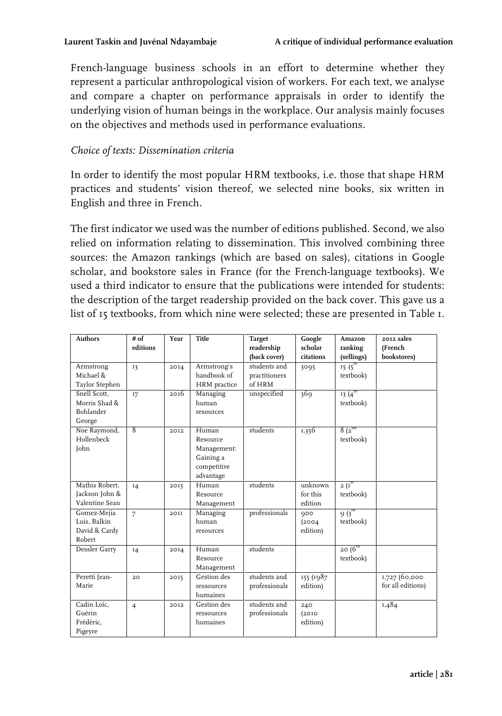French-language business schools in an effort to determine whether they represent a particular anthropological vision of workers. For each text, we analyse and compare a chapter on performance appraisals in order to identify the underlying vision of human beings in the workplace. Our analysis mainly focuses on the objectives and methods used in performance evaluations.

#### *Choice of texts: Dissemination criteria*

In order to identify the most popular HRM textbooks, i.e. those that shape HRM practices and students' vision thereof, we selected nine books, six written in English and three in French.

The first indicator we used was the number of editions published. Second, we also relied on information relating to dissemination. This involved combining three sources: the Amazon rankings (which are based on sales), citations in Google scholar, and bookstore sales in France (for the French-language textbooks). We used a third indicator to ensure that the publications were intended for students: the description of the target readership provided on the back cover. This gave us a list of 15 textbooks, from which nine were selected; these are presented in Table 1.

| Authors                                                     | # of<br>editions | Year  | Title                                                                     | <b>Target</b><br>readership<br>(back cover) | Google<br>scholar<br>citations | Amazon<br>ranking<br>(sellings)                       | 2012 sales<br>(French<br>bookstores) |
|-------------------------------------------------------------|------------------|-------|---------------------------------------------------------------------------|---------------------------------------------|--------------------------------|-------------------------------------------------------|--------------------------------------|
| Armstrong<br>Michael &<br>Taylor Stephen                    | 13               | 2014  | Armstrong's<br>handbook of<br>HRM practice                                | students and<br>practitioners<br>of HRM     | 3095                           | $15(5^{\text{th}})$<br>textbook)                      |                                      |
| Snell Scott.<br>Morris Shad &<br><b>Bohlander</b><br>George | I7               | 2016  | Managing<br>human<br>resources                                            | unspecified                                 | 369                            | $13(4^{th})$<br>textbook)                             |                                      |
| Noe Raymond,<br>Hollenbeck<br>John                          | $\overline{8}$   | 2.012 | Human<br>Resource<br>Management:<br>Gaining a<br>competitive<br>advantage | students                                    | 1,356                          | $8(2^{nd}$<br>textbook)                               |                                      |
| Mathis Robert.<br>Jackson John &<br>Valentine Sean          | 14               | 2013  | Human<br>Resource<br>Management                                           | students                                    | unknown<br>for this<br>edition | $2\left(\mathrm{I}^{\mathrm{st}}\right)$<br>textbook) |                                      |
| Gomez-Mejia<br>Luis, Balkin<br>David & Cardy<br>Robert      | 7                | 20II  | Managing<br>human<br>resources                                            | professionals                               | 000<br>(2004)<br>edition)      | $9(3^{rd}$<br>textbook)                               |                                      |
| Dessler Garry                                               | 14               | 2014  | Human<br>Resource<br>Management                                           | students                                    |                                | 20 $(6^{th}$<br>textbook)                             |                                      |
| Peretti Jean-<br>Marie                                      | 20               | 2015  | Gestion des<br>ressources<br>humaines                                     | students and<br>professionals               | 155 (1987<br>edition)          |                                                       | 1,727 (60,000<br>for all editions)   |
| Cadin Loïc.<br>Guérin<br>Frédéric.<br>Pigeyre               | $\overline{4}$   | 2012  | Gestion des<br>ressources<br>humaines                                     | students and<br>professionals               | 240<br>(20I)<br>edition)       |                                                       | 1,484                                |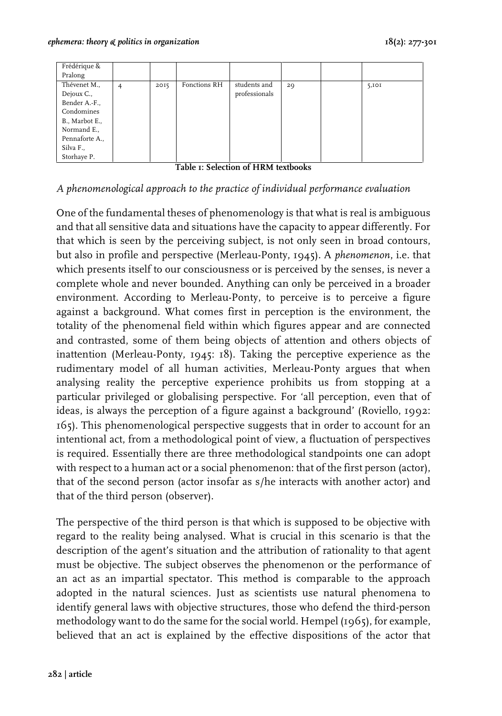| Frédérique &   |                |      |              |               |    |       |
|----------------|----------------|------|--------------|---------------|----|-------|
| Pralong        |                |      |              |               |    |       |
| Thévenet M.,   | $\overline{4}$ | 2015 | Fonctions RH | students and  | 29 | 5,101 |
| Dejoux C.,     |                |      |              | professionals |    |       |
| Bender A.-F.,  |                |      |              |               |    |       |
| Condomines     |                |      |              |               |    |       |
| B., Marbot E., |                |      |              |               |    |       |
| Normand E.,    |                |      |              |               |    |       |
| Pennaforte A., |                |      |              |               |    |       |
| Silva F.,      |                |      |              |               |    |       |
| Storhaye P.    |                |      |              |               |    |       |

**Table 1: Selection of HRM textbooks**

#### *A phenomenological approach to the practice of individual performance evaluation*

One of the fundamental theses of phenomenology is that what is real is ambiguous and that all sensitive data and situations have the capacity to appear differently. For that which is seen by the perceiving subject, is not only seen in broad contours, but also in profile and perspective (Merleau-Ponty, 1945). A *phenomenon*, i.e. that which presents itself to our consciousness or is perceived by the senses, is never a complete whole and never bounded. Anything can only be perceived in a broader environment. According to Merleau-Ponty, to perceive is to perceive a figure against a background. What comes first in perception is the environment, the totality of the phenomenal field within which figures appear and are connected and contrasted, some of them being objects of attention and others objects of inattention (Merleau-Ponty, 1945: 18). Taking the perceptive experience as the rudimentary model of all human activities, Merleau-Ponty argues that when analysing reality the perceptive experience prohibits us from stopping at a particular privileged or globalising perspective. For 'all perception, even that of ideas, is always the perception of a figure against a background' (Roviello, 1992: 165). This phenomenological perspective suggests that in order to account for an intentional act, from a methodological point of view, a fluctuation of perspectives is required. Essentially there are three methodological standpoints one can adopt with respect to a human act or a social phenomenon: that of the first person (actor), that of the second person (actor insofar as s/he interacts with another actor) and that of the third person (observer).

The perspective of the third person is that which is supposed to be objective with regard to the reality being analysed. What is crucial in this scenario is that the description of the agent's situation and the attribution of rationality to that agent must be objective. The subject observes the phenomenon or the performance of an act as an impartial spectator. This method is comparable to the approach adopted in the natural sciences. Just as scientists use natural phenomena to identify general laws with objective structures, those who defend the third-person methodology want to do the same for the social world. Hempel (1965), for example, believed that an act is explained by the effective dispositions of the actor that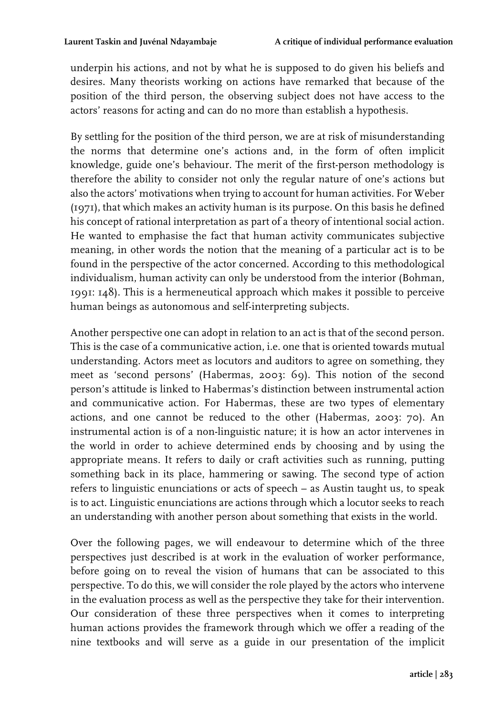underpin his actions, and not by what he is supposed to do given his beliefs and desires. Many theorists working on actions have remarked that because of the position of the third person, the observing subject does not have access to the actors' reasons for acting and can do no more than establish a hypothesis.

By settling for the position of the third person, we are at risk of misunderstanding the norms that determine one's actions and, in the form of often implicit knowledge, guide one's behaviour. The merit of the first-person methodology is therefore the ability to consider not only the regular nature of one's actions but also the actors' motivations when trying to account for human activities. For Weber (1971), that which makes an activity human is its purpose. On this basis he defined his concept of rational interpretation as part of a theory of intentional social action. He wanted to emphasise the fact that human activity communicates subjective meaning, in other words the notion that the meaning of a particular act is to be found in the perspective of the actor concerned. According to this methodological individualism, human activity can only be understood from the interior (Bohman, 1991: 148). This is a hermeneutical approach which makes it possible to perceive human beings as autonomous and self-interpreting subjects.

Another perspective one can adopt in relation to an act is that of the second person. This is the case of a communicative action, i.e. one that is oriented towards mutual understanding. Actors meet as locutors and auditors to agree on something, they meet as 'second persons' (Habermas, 2003: 69). This notion of the second person's attitude is linked to Habermas's distinction between instrumental action and communicative action. For Habermas, these are two types of elementary actions, and one cannot be reduced to the other (Habermas, 2003: 70). An instrumental action is of a non-linguistic nature; it is how an actor intervenes in the world in order to achieve determined ends by choosing and by using the appropriate means. It refers to daily or craft activities such as running, putting something back in its place, hammering or sawing. The second type of action refers to linguistic enunciations or acts of speech – as Austin taught us, to speak is to act. Linguistic enunciations are actions through which a locutor seeks to reach an understanding with another person about something that exists in the world.

Over the following pages, we will endeavour to determine which of the three perspectives just described is at work in the evaluation of worker performance, before going on to reveal the vision of humans that can be associated to this perspective. To do this, we will consider the role played by the actors who intervene in the evaluation process as well as the perspective they take for their intervention. Our consideration of these three perspectives when it comes to interpreting human actions provides the framework through which we offer a reading of the nine textbooks and will serve as a guide in our presentation of the implicit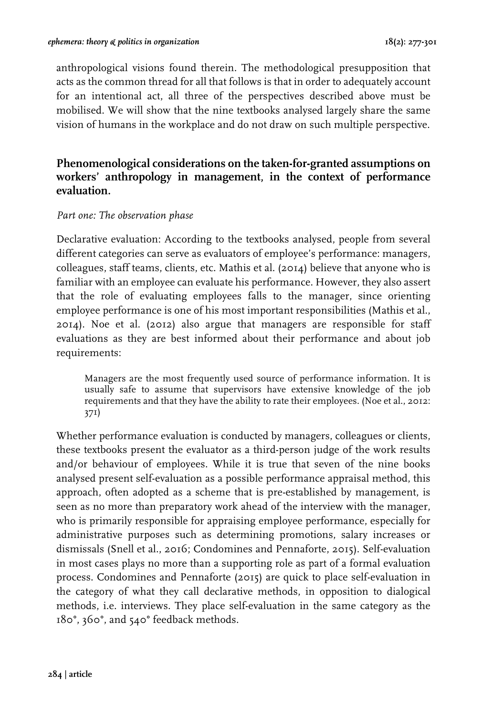anthropological visions found therein. The methodological presupposition that acts as the common thread for all that follows is that in order to adequately account for an intentional act, all three of the perspectives described above must be mobilised. We will show that the nine textbooks analysed largely share the same vision of humans in the workplace and do not draw on such multiple perspective.

# **Phenomenological considerations on the taken-for-granted assumptions on workers' anthropology in management, in the context of performance evaluation.**

#### *Part one: The observation phase*

Declarative evaluation: According to the textbooks analysed, people from several different categories can serve as evaluators of employee's performance: managers, colleagues, staff teams, clients, etc. Mathis et al. (2014) believe that anyone who is familiar with an employee can evaluate his performance. However, they also assert that the role of evaluating employees falls to the manager, since orienting employee performance is one of his most important responsibilities (Mathis et al., 2014). Noe et al. (2012) also argue that managers are responsible for staff evaluations as they are best informed about their performance and about job requirements:

Managers are the most frequently used source of performance information. It is usually safe to assume that supervisors have extensive knowledge of the job requirements and that they have the ability to rate their employees. (Noe et al., 2012: 371)

Whether performance evaluation is conducted by managers, colleagues or clients, these textbooks present the evaluator as a third-person judge of the work results and/or behaviour of employees. While it is true that seven of the nine books analysed present self-evaluation as a possible performance appraisal method, this approach, often adopted as a scheme that is pre-established by management, is seen as no more than preparatory work ahead of the interview with the manager, who is primarily responsible for appraising employee performance, especially for administrative purposes such as determining promotions, salary increases or dismissals (Snell et al., 2016; Condomines and Pennaforte, 2015). Self-evaluation in most cases plays no more than a supporting role as part of a formal evaluation process. Condomines and Pennaforte (2015) are quick to place self-evaluation in the category of what they call declarative methods, in opposition to dialogical methods, i.e. interviews. They place self-evaluation in the same category as the 180°, 360°, and 540° feedback methods.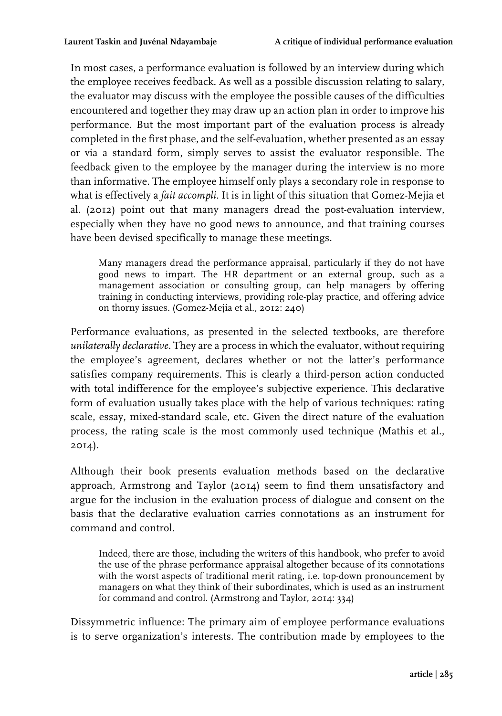In most cases, a performance evaluation is followed by an interview during which the employee receives feedback. As well as a possible discussion relating to salary, the evaluator may discuss with the employee the possible causes of the difficulties encountered and together they may draw up an action plan in order to improve his performance. But the most important part of the evaluation process is already completed in the first phase, and the self-evaluation, whether presented as an essay or via a standard form, simply serves to assist the evaluator responsible. The feedback given to the employee by the manager during the interview is no more than informative. The employee himself only plays a secondary role in response to what is effectively a *fait accompli*. It is in light of this situation that Gomez-Mejia et al. (2012) point out that many managers dread the post-evaluation interview, especially when they have no good news to announce, and that training courses have been devised specifically to manage these meetings.

Many managers dread the performance appraisal, particularly if they do not have good news to impart. The HR department or an external group, such as a management association or consulting group, can help managers by offering training in conducting interviews, providing role-play practice, and offering advice on thorny issues. (Gomez-Mejia et al., 2012: 240)

Performance evaluations, as presented in the selected textbooks, are therefore *unilaterally declarative*. They are a process in which the evaluator, without requiring the employee's agreement, declares whether or not the latter's performance satisfies company requirements. This is clearly a third-person action conducted with total indifference for the employee's subjective experience. This declarative form of evaluation usually takes place with the help of various techniques: rating scale, essay, mixed-standard scale, etc. Given the direct nature of the evaluation process, the rating scale is the most commonly used technique (Mathis et al., 2014).

Although their book presents evaluation methods based on the declarative approach, Armstrong and Taylor (2014) seem to find them unsatisfactory and argue for the inclusion in the evaluation process of dialogue and consent on the basis that the declarative evaluation carries connotations as an instrument for command and control.

Indeed, there are those, including the writers of this handbook, who prefer to avoid the use of the phrase performance appraisal altogether because of its connotations with the worst aspects of traditional merit rating, i.e. top-down pronouncement by managers on what they think of their subordinates, which is used as an instrument for command and control. (Armstrong and Taylor, 2014: 334)

Dissymmetric influence: The primary aim of employee performance evaluations is to serve organization's interests. The contribution made by employees to the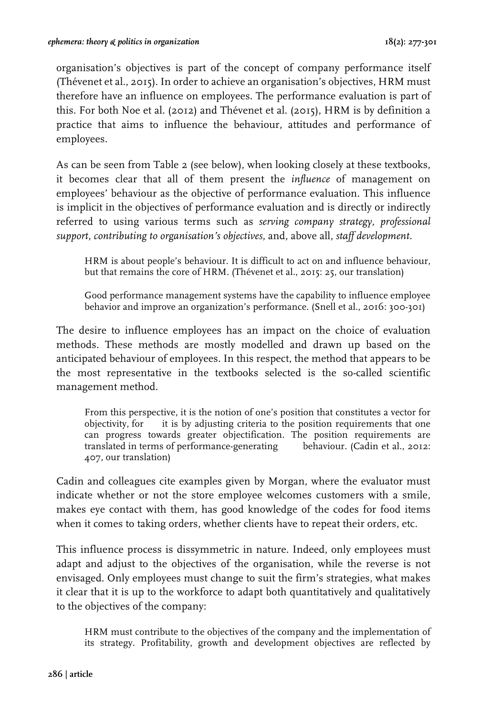organisation's objectives is part of the concept of company performance itself (Thévenet et al., 2015). In order to achieve an organisation's objectives, HRM must therefore have an influence on employees. The performance evaluation is part of this. For both Noe et al. (2012) and Thévenet et al. (2015), HRM is by definition a practice that aims to influence the behaviour, attitudes and performance of employees.

As can be seen from Table 2 (see below), when looking closely at these textbooks, it becomes clear that all of them present the *influence* of management on employees' behaviour as the objective of performance evaluation. This influence is implicit in the objectives of performance evaluation and is directly or indirectly referred to using various terms such as *serving company strategy, professional support*, *contributing to organisation's objectives*, and, above all, *staff development*.

HRM is about people's behaviour. It is difficult to act on and influence behaviour, but that remains the core of HRM. (Thévenet et al., 2015: 25, our translation)

Good performance management systems have the capability to influence employee behavior and improve an organization's performance. (Snell et al., 2016: 300-301)

The desire to influence employees has an impact on the choice of evaluation methods. These methods are mostly modelled and drawn up based on the anticipated behaviour of employees. In this respect, the method that appears to be the most representative in the textbooks selected is the so-called scientific management method.

From this perspective, it is the notion of one's position that constitutes a vector for objectivity, for it is by adjusting criteria to the position requirements that one can progress towards greater objectification. The position requirements are translated in terms of performance-generating behaviour. (Cadin et al., 2012: 407, our translation)

Cadin and colleagues cite examples given by Morgan, where the evaluator must indicate whether or not the store employee welcomes customers with a smile, makes eye contact with them, has good knowledge of the codes for food items when it comes to taking orders, whether clients have to repeat their orders, etc.

This influence process is dissymmetric in nature. Indeed, only employees must adapt and adjust to the objectives of the organisation, while the reverse is not envisaged. Only employees must change to suit the firm's strategies, what makes it clear that it is up to the workforce to adapt both quantitatively and qualitatively to the objectives of the company:

HRM must contribute to the objectives of the company and the implementation of its strategy. Profitability, growth and development objectives are reflected by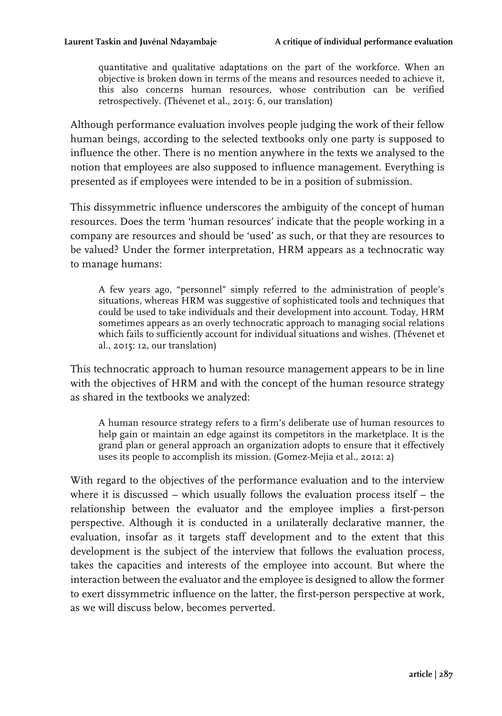quantitative and qualitative adaptations on the part of the workforce. When an objective is broken down in terms of the means and resources needed to achieve it, this also concerns human resources, whose contribution can be verified retrospectively. (Thévenet et al., 2015: 6, our translation)

Although performance evaluation involves people judging the work of their fellow human beings, according to the selected textbooks only one party is supposed to influence the other. There is no mention anywhere in the texts we analysed to the notion that employees are also supposed to influence management. Everything is presented as if employees were intended to be in a position of submission.

This dissymmetric influence underscores the ambiguity of the concept of human resources. Does the term 'human resources' indicate that the people working in a company are resources and should be 'used' as such, or that they are resources to be valued? Under the former interpretation, HRM appears as a technocratic way to manage humans:

A few years ago, "personnel" simply referred to the administration of people's situations, whereas HRM was suggestive of sophisticated tools and techniques that could be used to take individuals and their development into account. Today, HRM sometimes appears as an overly technocratic approach to managing social relations which fails to sufficiently account for individual situations and wishes. (Thévenet et al., 2015: 12, our translation)

This technocratic approach to human resource management appears to be in line with the objectives of HRM and with the concept of the human resource strategy as shared in the textbooks we analyzed:

A human resource strategy refers to a firm's deliberate use of human resources to help gain or maintain an edge against its competitors in the marketplace. It is the grand plan or general approach an organization adopts to ensure that it effectively uses its people to accomplish its mission. (Gomez-Mejia et al., 2012: 2)

With regard to the objectives of the performance evaluation and to the interview where it is discussed – which usually follows the evaluation process itself – the relationship between the evaluator and the employee implies a first-person perspective. Although it is conducted in a unilaterally declarative manner, the evaluation, insofar as it targets staff development and to the extent that this development is the subject of the interview that follows the evaluation process, takes the capacities and interests of the employee into account. But where the interaction between the evaluator and the employee is designed to allow the former to exert dissymmetric influence on the latter, the first-person perspective at work, as we will discuss below, becomes perverted.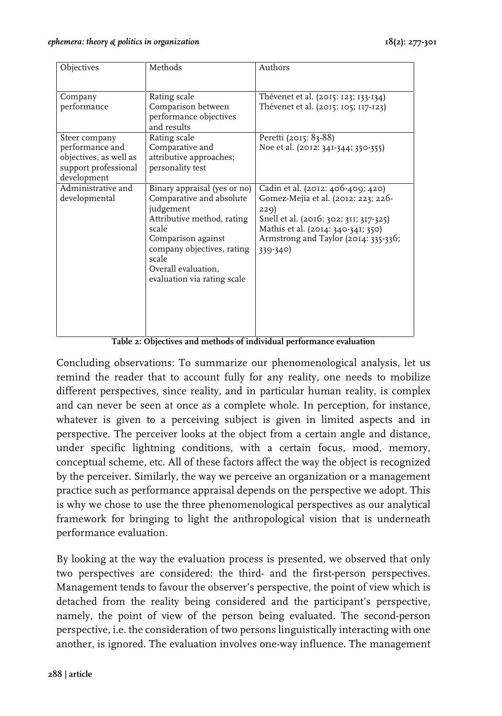| Objectives                                                                                        | Methods                                                                                                                                                                                                                         | Authors                                                                                                                                                                                                                 |
|---------------------------------------------------------------------------------------------------|---------------------------------------------------------------------------------------------------------------------------------------------------------------------------------------------------------------------------------|-------------------------------------------------------------------------------------------------------------------------------------------------------------------------------------------------------------------------|
| Company<br>performance                                                                            | Rating scale<br>Comparison between<br>performance objectives<br>and results                                                                                                                                                     | Thévenet et al. (2015: 123; 133-134)<br>Thévenet et al. (2015: 105; 117-123)                                                                                                                                            |
| Steer company<br>performance and<br>objectives, as well as<br>support professional<br>development | Rating scale<br>Comparative and<br>attributive approaches;<br>personality test                                                                                                                                                  | Peretti (2015: 83-88)<br>Noe et al. (2012: 341-344; 350-355)                                                                                                                                                            |
| Administrative and<br>developmental                                                               | Binary appraisal (yes or no)<br>Comparative and absolute<br>judgement<br>Attributive method, rating<br>scale<br>Comparison against<br>company objectives, rating<br>scale<br>Overall evaluation,<br>evaluation via rating scale | Cadin et al. (2012: 406-409; 420)<br>Gomez-Mejia et al. (2012: 223; 226-<br>229)<br>Snell et al. (2016: 302; 311; 317-325)<br>Mathis et al. (2014: 340-341; 350)<br>Armstrong and Taylor (2014: 335-336;<br>$339 - 340$ |

**Table 2: Objectives and methods of individual performance evaluation**

Concluding observations: To summarize our phenomenological analysis, let us remind the reader that to account fully for any reality, one needs to mobilize different perspectives, since reality, and in particular human reality, is complex and can never be seen at once as a complete whole. In perception, for instance, whatever is given to a perceiving subject is given in limited aspects and in perspective. The perceiver looks at the object from a certain angle and distance, under specific lightning conditions, with a certain focus, mood, memory, conceptual scheme, etc. All of these factors affect the way the object is recognized by the perceiver. Similarly, the way we perceive an organization or a management practice such as performance appraisal depends on the perspective we adopt. This is why we chose to use the three phenomenological perspectives as our analytical framework for bringing to light the anthropological vision that is underneath performance evaluation.

By looking at the way the evaluation process is presented, we observed that only two perspectives are considered: the third- and the first-person perspectives. Management tends to favour the observer's perspective, the point of view which is detached from the reality being considered and the participant's perspective, namely, the point of view of the person being evaluated. The second-person perspective, i.e. the consideration of two persons linguistically interacting with one another, is ignored. The evaluation involves one-way influence. The management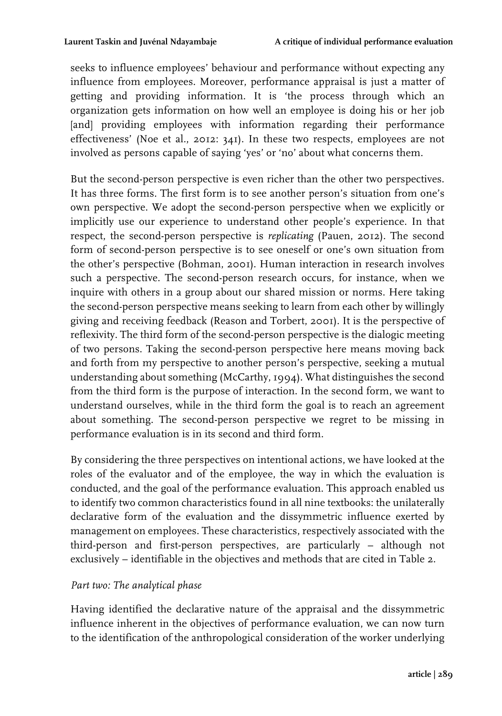seeks to influence employees' behaviour and performance without expecting any influence from employees. Moreover, performance appraisal is just a matter of getting and providing information. It is 'the process through which an organization gets information on how well an employee is doing his or her job [and] providing employees with information regarding their performance effectiveness' (Noe et al., 2012: 341). In these two respects, employees are not involved as persons capable of saying 'yes' or 'no' about what concerns them.

But the second-person perspective is even richer than the other two perspectives. It has three forms. The first form is to see another person's situation from one's own perspective. We adopt the second-person perspective when we explicitly or implicitly use our experience to understand other people's experience. In that respect, the second-person perspective is *replicating* (Pauen, 2012). The second form of second-person perspective is to see oneself or one's own situation from the other's perspective (Bohman, 2001). Human interaction in research involves such a perspective. The second-person research occurs, for instance, when we inquire with others in a group about our shared mission or norms. Here taking the second-person perspective means seeking to learn from each other by willingly giving and receiving feedback (Reason and Torbert, 2001). It is the perspective of reflexivity. The third form of the second-person perspective is the dialogic meeting of two persons. Taking the second-person perspective here means moving back and forth from my perspective to another person's perspective, seeking a mutual understanding about something (McCarthy, 1994). What distinguishes the second from the third form is the purpose of interaction. In the second form, we want to understand ourselves, while in the third form the goal is to reach an agreement about something. The second-person perspective we regret to be missing in performance evaluation is in its second and third form.

By considering the three perspectives on intentional actions, we have looked at the roles of the evaluator and of the employee, the way in which the evaluation is conducted, and the goal of the performance evaluation. This approach enabled us to identify two common characteristics found in all nine textbooks: the unilaterally declarative form of the evaluation and the dissymmetric influence exerted by management on employees. These characteristics, respectively associated with the third-person and first-person perspectives, are particularly – although not exclusively – identifiable in the objectives and methods that are cited in Table 2.

#### *Part two: The analytical phase*

Having identified the declarative nature of the appraisal and the dissymmetric influence inherent in the objectives of performance evaluation, we can now turn to the identification of the anthropological consideration of the worker underlying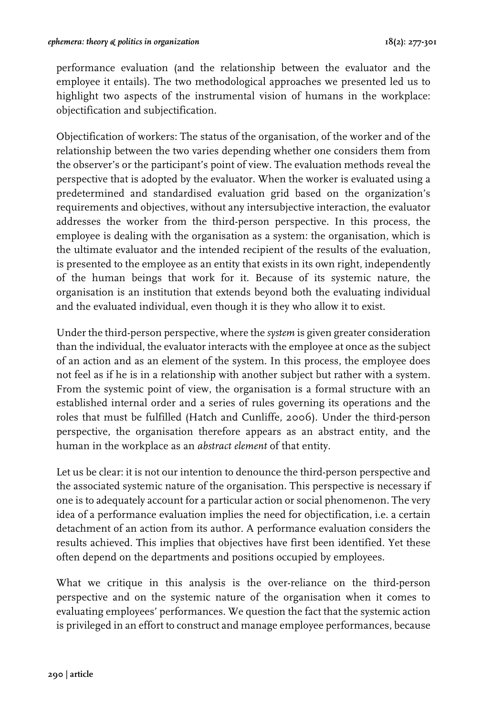performance evaluation (and the relationship between the evaluator and the employee it entails). The two methodological approaches we presented led us to highlight two aspects of the instrumental vision of humans in the workplace: objectification and subjectification.

Objectification of workers: The status of the organisation, of the worker and of the relationship between the two varies depending whether one considers them from the observer's or the participant's point of view. The evaluation methods reveal the perspective that is adopted by the evaluator. When the worker is evaluated using a predetermined and standardised evaluation grid based on the organization's requirements and objectives, without any intersubjective interaction, the evaluator addresses the worker from the third-person perspective. In this process, the employee is dealing with the organisation as a system: the organisation, which is the ultimate evaluator and the intended recipient of the results of the evaluation, is presented to the employee as an entity that exists in its own right, independently of the human beings that work for it. Because of its systemic nature, the organisation is an institution that extends beyond both the evaluating individual and the evaluated individual, even though it is they who allow it to exist.

Under the third-person perspective, where the *system* is given greater consideration than the individual, the evaluator interacts with the employee at once as the subject of an action and as an element of the system. In this process, the employee does not feel as if he is in a relationship with another subject but rather with a system. From the systemic point of view, the organisation is a formal structure with an established internal order and a series of rules governing its operations and the roles that must be fulfilled (Hatch and Cunliffe, 2006). Under the third-person perspective, the organisation therefore appears as an abstract entity, and the human in the workplace as an *abstract element* of that entity.

Let us be clear: it is not our intention to denounce the third-person perspective and the associated systemic nature of the organisation. This perspective is necessary if one is to adequately account for a particular action or social phenomenon. The very idea of a performance evaluation implies the need for objectification, i.e. a certain detachment of an action from its author. A performance evaluation considers the results achieved. This implies that objectives have first been identified. Yet these often depend on the departments and positions occupied by employees.

What we critique in this analysis is the over-reliance on the third-person perspective and on the systemic nature of the organisation when it comes to evaluating employees' performances. We question the fact that the systemic action is privileged in an effort to construct and manage employee performances, because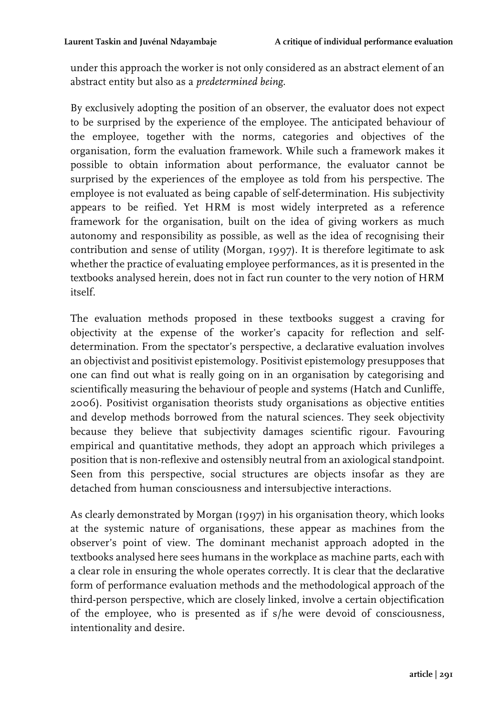under this approach the worker is not only considered as an abstract element of an abstract entity but also as a *predetermined being*.

By exclusively adopting the position of an observer, the evaluator does not expect to be surprised by the experience of the employee. The anticipated behaviour of the employee, together with the norms, categories and objectives of the organisation, form the evaluation framework. While such a framework makes it possible to obtain information about performance, the evaluator cannot be surprised by the experiences of the employee as told from his perspective. The employee is not evaluated as being capable of self-determination. His subjectivity appears to be reified. Yet HRM is most widely interpreted as a reference framework for the organisation, built on the idea of giving workers as much autonomy and responsibility as possible, as well as the idea of recognising their contribution and sense of utility (Morgan, 1997). It is therefore legitimate to ask whether the practice of evaluating employee performances, as it is presented in the textbooks analysed herein, does not in fact run counter to the very notion of HRM itself.

The evaluation methods proposed in these textbooks suggest a craving for objectivity at the expense of the worker's capacity for reflection and selfdetermination. From the spectator's perspective, a declarative evaluation involves an objectivist and positivist epistemology. Positivist epistemology presupposes that one can find out what is really going on in an organisation by categorising and scientifically measuring the behaviour of people and systems (Hatch and Cunliffe, 2006). Positivist organisation theorists study organisations as objective entities and develop methods borrowed from the natural sciences. They seek objectivity because they believe that subjectivity damages scientific rigour. Favouring empirical and quantitative methods, they adopt an approach which privileges a position that is non-reflexive and ostensibly neutral from an axiological standpoint. Seen from this perspective, social structures are objects insofar as they are detached from human consciousness and intersubjective interactions.

As clearly demonstrated by Morgan (1997) in his organisation theory, which looks at the systemic nature of organisations, these appear as machines from the observer's point of view. The dominant mechanist approach adopted in the textbooks analysed here sees humans in the workplace as machine parts, each with a clear role in ensuring the whole operates correctly. It is clear that the declarative form of performance evaluation methods and the methodological approach of the third-person perspective, which are closely linked, involve a certain objectification of the employee, who is presented as if s/he were devoid of consciousness, intentionality and desire.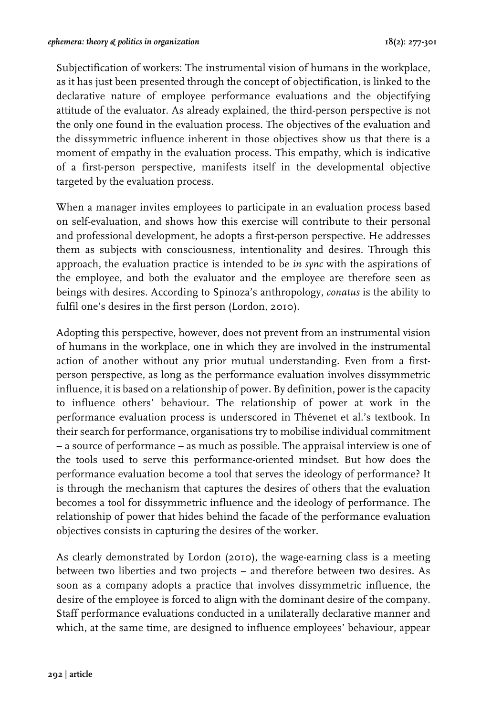Subjectification of workers: The instrumental vision of humans in the workplace, as it has just been presented through the concept of objectification, is linked to the declarative nature of employee performance evaluations and the objectifying attitude of the evaluator. As already explained, the third-person perspective is not the only one found in the evaluation process. The objectives of the evaluation and the dissymmetric influence inherent in those objectives show us that there is a moment of empathy in the evaluation process. This empathy, which is indicative of a first-person perspective, manifests itself in the developmental objective targeted by the evaluation process.

When a manager invites employees to participate in an evaluation process based on self-evaluation, and shows how this exercise will contribute to their personal and professional development, he adopts a first-person perspective. He addresses them as subjects with consciousness, intentionality and desires. Through this approach, the evaluation practice is intended to be *in sync* with the aspirations of the employee, and both the evaluator and the employee are therefore seen as beings with desires. According to Spinoza's anthropology, *conatus* is the ability to fulfil one's desires in the first person (Lordon, 2010).

Adopting this perspective, however, does not prevent from an instrumental vision of humans in the workplace, one in which they are involved in the instrumental action of another without any prior mutual understanding. Even from a firstperson perspective, as long as the performance evaluation involves dissymmetric influence, it is based on a relationship of power. By definition, power is the capacity to influence others' behaviour. The relationship of power at work in the performance evaluation process is underscored in Thévenet et al.'s textbook. In their search for performance, organisations try to mobilise individual commitment – a source of performance – as much as possible. The appraisal interview is one of the tools used to serve this performance-oriented mindset. But how does the performance evaluation become a tool that serves the ideology of performance? It is through the mechanism that captures the desires of others that the evaluation becomes a tool for dissymmetric influence and the ideology of performance. The relationship of power that hides behind the facade of the performance evaluation objectives consists in capturing the desires of the worker.

As clearly demonstrated by Lordon (2010), the wage-earning class is a meeting between two liberties and two projects – and therefore between two desires. As soon as a company adopts a practice that involves dissymmetric influence, the desire of the employee is forced to align with the dominant desire of the company. Staff performance evaluations conducted in a unilaterally declarative manner and which, at the same time, are designed to influence employees' behaviour, appear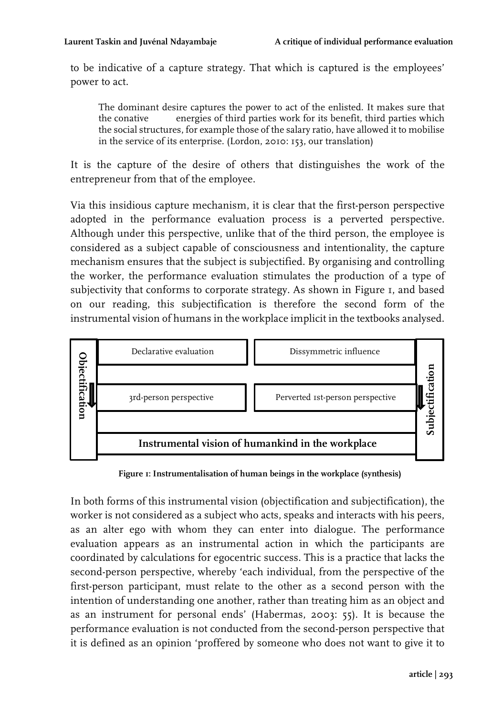to be indicative of a capture strategy. That which is captured is the employees' power to act.

The dominant desire captures the power to act of the enlisted. It makes sure that the conative energies of third parties work for its benefit, third parties which the social structures, for example those of the salary ratio, have allowed it to mobilise in the service of its enterprise. (Lordon, 2010: 153, our translation)

It is the capture of the desire of others that distinguishes the work of the entrepreneur from that of the employee.

Via this insidious capture mechanism, it is clear that the first-person perspective adopted in the performance evaluation process is a perverted perspective. Although under this perspective, unlike that of the third person, the employee is considered as a subject capable of consciousness and intentionality, the capture mechanism ensures that the subject is subjectified. By organising and controlling the worker, the performance evaluation stimulates the production of a type of subjectivity that conforms to corporate strategy. As shown in Figure 1, and based on our reading, this subjectification is therefore the second form of the instrumental vision of humans in the workplace implicit in the textbooks analysed.



**Figure 1: Instrumentalisation of human beings in the workplace (synthesis)**

In both forms of this instrumental vision (objectification and subjectification), the worker is not considered as a subject who acts, speaks and interacts with his peers, as an alter ego with whom they can enter into dialogue. The performance evaluation appears as an instrumental action in which the participants are coordinated by calculations for egocentric success. This is a practice that lacks the second-person perspective, whereby 'each individual, from the perspective of the first-person participant, must relate to the other as a second person with the intention of understanding one another, rather than treating him as an object and as an instrument for personal ends' (Habermas, 2003: 55). It is because the performance evaluation is not conducted from the second-person perspective that it is defined as an opinion 'proffered by someone who does not want to give it to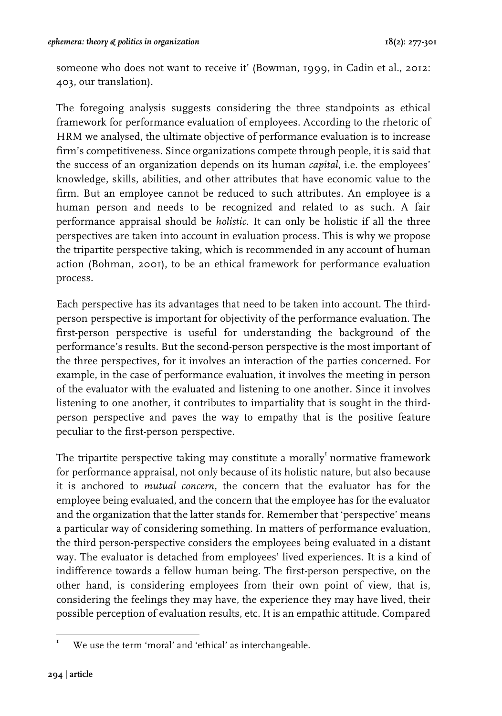someone who does not want to receive it' (Bowman, 1999, in Cadin et al., 2012: 403, our translation).

The foregoing analysis suggests considering the three standpoints as ethical framework for performance evaluation of employees. According to the rhetoric of HRM we analysed, the ultimate objective of performance evaluation is to increase firm's competitiveness. Since organizations compete through people, it is said that the success of an organization depends on its human *capital*, i.e. the employees' knowledge, skills, abilities, and other attributes that have economic value to the firm. But an employee cannot be reduced to such attributes. An employee is a human person and needs to be recognized and related to as such. A fair performance appraisal should be *holistic*. It can only be holistic if all the three perspectives are taken into account in evaluation process. This is why we propose the tripartite perspective taking, which is recommended in any account of human action (Bohman, 2001), to be an ethical framework for performance evaluation process.

Each perspective has its advantages that need to be taken into account. The thirdperson perspective is important for objectivity of the performance evaluation. The first-person perspective is useful for understanding the background of the performance's results. But the second-person perspective is the most important of the three perspectives, for it involves an interaction of the parties concerned. For example, in the case of performance evaluation, it involves the meeting in person of the evaluator with the evaluated and listening to one another. Since it involves listening to one another, it contributes to impartiality that is sought in the thirdperson perspective and paves the way to empathy that is the positive feature peculiar to the first-person perspective.

The tripartite perspective taking may constitute a morally $^{\mathrm{r}}$ normative framework for performance appraisal, not only because of its holistic nature, but also because it is anchored to *mutual concern*, the concern that the evaluator has for the employee being evaluated, and the concern that the employee has for the evaluator and the organization that the latter stands for. Remember that 'perspective' means a particular way of considering something. In matters of performance evaluation, the third person-perspective considers the employees being evaluated in a distant way. The evaluator is detached from employees' lived experiences. It is a kind of indifference towards a fellow human being. The first-person perspective, on the other hand, is considering employees from their own point of view, that is, considering the feelings they may have, the experience they may have lived, their possible perception of evaluation results, etc. It is an empathic attitude. Compared

 We use the term 'moral' and 'ethical' as interchangeable.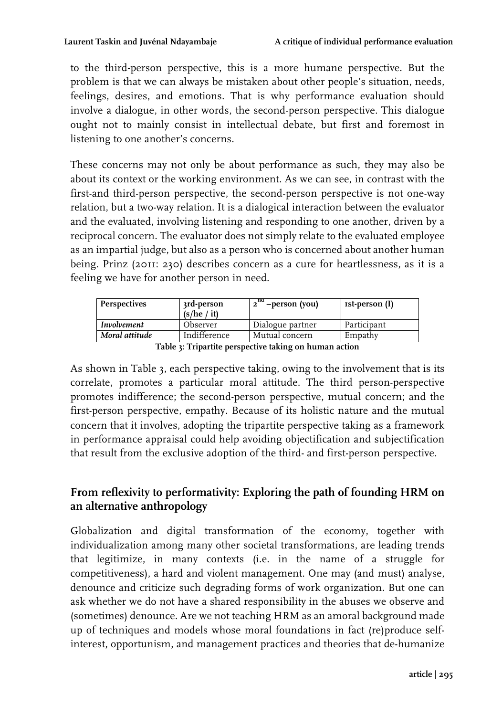to the third-person perspective, this is a more humane perspective. But the problem is that we can always be mistaken about other people's situation, needs, feelings, desires, and emotions. That is why performance evaluation should involve a dialogue, in other words, the second-person perspective. This dialogue ought not to mainly consist in intellectual debate, but first and foremost in listening to one another's concerns.

These concerns may not only be about performance as such, they may also be about its context or the working environment. As we can see, in contrast with the first-and third-person perspective, the second-person perspective is not one-way relation, but a two-way relation. It is a dialogical interaction between the evaluator and the evaluated, involving listening and responding to one another, driven by a reciprocal concern. The evaluator does not simply relate to the evaluated employee as an impartial judge, but also as a person who is concerned about another human being. Prinz (2011: 230) describes concern as a cure for heartlessness, as it is a feeling we have for another person in need.

| Perspectives   | 3rd-person<br>(s/he / it) | $2^{na}$<br>' –person (you) | ist-person (I) |  |  |
|----------------|---------------------------|-----------------------------|----------------|--|--|
| Involvement    | Observer                  | Dialogue partner            | Participant    |  |  |
| Moral attitude | Indifference              | Mutual concern              | Empathy        |  |  |
|                |                           |                             |                |  |  |

**Table 3: Tripartite perspective taking on human action**

As shown in Table 3, each perspective taking, owing to the involvement that is its correlate, promotes a particular moral attitude. The third person-perspective promotes indifference; the second-person perspective, mutual concern; and the first-person perspective, empathy. Because of its holistic nature and the mutual concern that it involves, adopting the tripartite perspective taking as a framework in performance appraisal could help avoiding objectification and subjectification that result from the exclusive adoption of the third- and first-person perspective.

# **From reflexivity to performativity: Exploring the path of founding HRM on an alternative anthropology**

Globalization and digital transformation of the economy, together with individualization among many other societal transformations, are leading trends that legitimize, in many contexts (i.e. in the name of a struggle for competitiveness), a hard and violent management. One may (and must) analyse, denounce and criticize such degrading forms of work organization. But one can ask whether we do not have a shared responsibility in the abuses we observe and (sometimes) denounce. Are we not teaching HRM as an amoral background made up of techniques and models whose moral foundations in fact (re)produce selfinterest, opportunism, and management practices and theories that de-humanize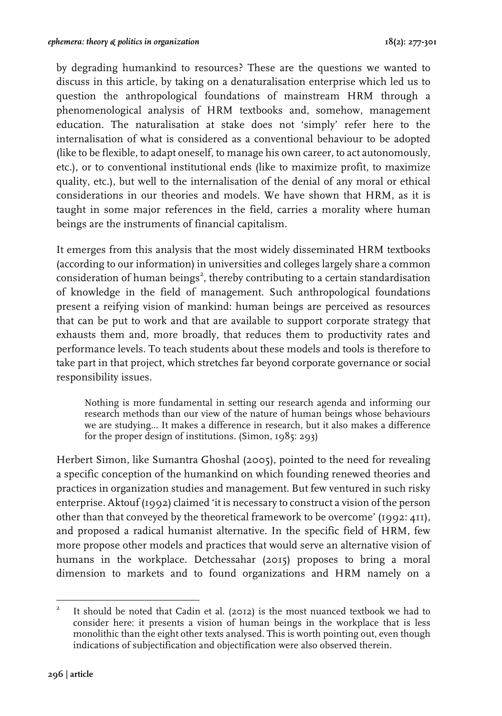by degrading humankind to resources? These are the questions we wanted to discuss in this article, by taking on a denaturalisation enterprise which led us to question the anthropological foundations of mainstream HRM through a phenomenological analysis of HRM textbooks and, somehow, management education. The naturalisation at stake does not 'simply' refer here to the internalisation of what is considered as a conventional behaviour to be adopted (like to be flexible, to adapt oneself, to manage his own career, to act autonomously, etc.), or to conventional institutional ends (like to maximize profit, to maximize quality, etc.), but well to the internalisation of the denial of any moral or ethical considerations in our theories and models. We have shown that HRM, as it is taught in some major references in the field, carries a morality where human beings are the instruments of financial capitalism.

It emerges from this analysis that the most widely disseminated HRM textbooks (according to our information) in universities and colleges largely share a common consideration of human beings<sup>2</sup>, thereby contributing to a certain standardisation of knowledge in the field of management. Such anthropological foundations present a reifying vision of mankind: human beings are perceived as resources that can be put to work and that are available to support corporate strategy that exhausts them and, more broadly, that reduces them to productivity rates and performance levels. To teach students about these models and tools is therefore to take part in that project, which stretches far beyond corporate governance or social responsibility issues.

Nothing is more fundamental in setting our research agenda and informing our research methods than our view of the nature of human beings whose behaviours we are studying… It makes a difference in research, but it also makes a difference for the proper design of institutions. (Simon, 1985: 293)

Herbert Simon, like Sumantra Ghoshal (2005), pointed to the need for revealing a specific conception of the humankind on which founding renewed theories and practices in organization studies and management. But few ventured in such risky enterprise. Aktouf (1992) claimed 'it is necessary to construct a vision of the person other than that conveyed by the theoretical framework to be overcome' (1992: 411), and proposed a radical humanist alternative. In the specific field of HRM, few more propose other models and practices that would serve an alternative vision of humans in the workplace. Detchessahar (2015) proposes to bring a moral dimension to markets and to found organizations and HRM namely on a

 <sup>2</sup> It should be noted that Cadin et al. (2012) is the most nuanced textbook we had to consider here: it presents a vision of human beings in the workplace that is less monolithic than the eight other texts analysed. This is worth pointing out, even though indications of subjectification and objectification were also observed therein.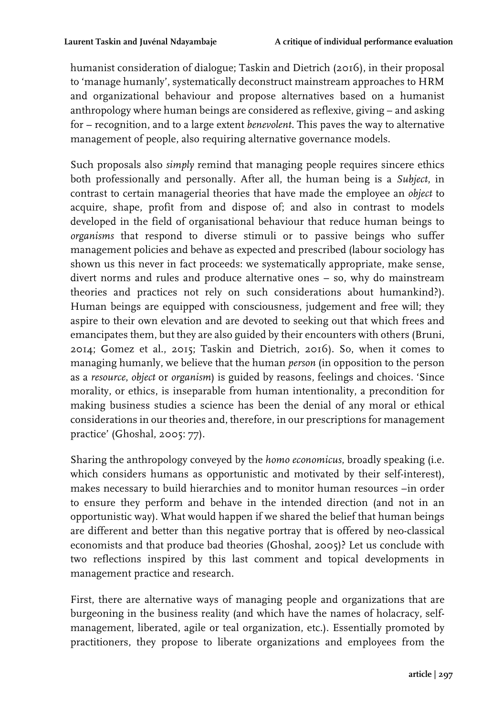humanist consideration of dialogue; Taskin and Dietrich (2016), in their proposal to 'manage humanly', systematically deconstruct mainstream approaches to HRM and organizational behaviour and propose alternatives based on a humanist anthropology where human beings are considered as reflexive, giving – and asking for – recognition, and to a large extent *benevolent*. This paves the way to alternative management of people, also requiring alternative governance models.

Such proposals also *simply* remind that managing people requires sincere ethics both professionally and personally. After all, the human being is a *Subject*, in contrast to certain managerial theories that have made the employee an *object* to acquire, shape, profit from and dispose of; and also in contrast to models developed in the field of organisational behaviour that reduce human beings to *organisms* that respond to diverse stimuli or to passive beings who suffer management policies and behave as expected and prescribed (labour sociology has shown us this never in fact proceeds: we systematically appropriate, make sense, divert norms and rules and produce alternative ones – so, why do mainstream theories and practices not rely on such considerations about humankind?). Human beings are equipped with consciousness, judgement and free will; they aspire to their own elevation and are devoted to seeking out that which frees and emancipates them, but they are also guided by their encounters with others (Bruni, 2014; Gomez et al., 2015; Taskin and Dietrich, 2016). So, when it comes to managing humanly, we believe that the human *person* (in opposition to the person as a *resource*, *object* or *organism*) is guided by reasons, feelings and choices. 'Since morality, or ethics, is inseparable from human intentionality, a precondition for making business studies a science has been the denial of any moral or ethical considerations in our theories and, therefore, in our prescriptions for management practice' (Ghoshal, 2005: 77).

Sharing the anthropology conveyed by the *homo economicus*, broadly speaking (i.e. which considers humans as opportunistic and motivated by their self-interest), makes necessary to build hierarchies and to monitor human resources –in order to ensure they perform and behave in the intended direction (and not in an opportunistic way). What would happen if we shared the belief that human beings are different and better than this negative portray that is offered by neo-classical economists and that produce bad theories (Ghoshal, 2005)? Let us conclude with two reflections inspired by this last comment and topical developments in management practice and research.

First, there are alternative ways of managing people and organizations that are burgeoning in the business reality (and which have the names of holacracy, selfmanagement, liberated, agile or teal organization, etc.). Essentially promoted by practitioners, they propose to liberate organizations and employees from the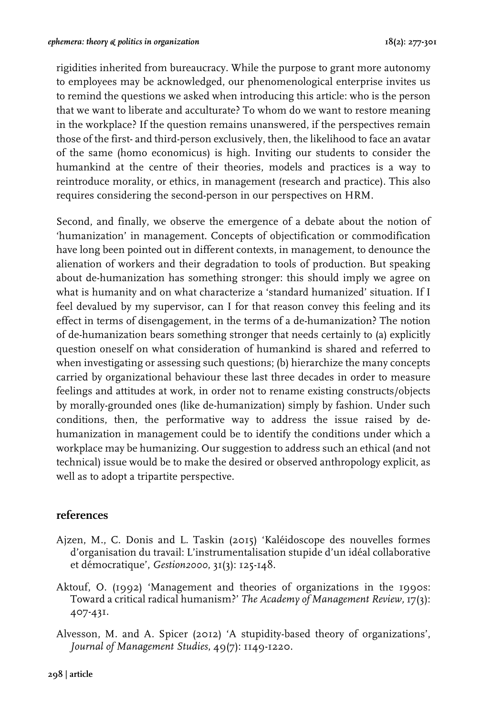rigidities inherited from bureaucracy. While the purpose to grant more autonomy to employees may be acknowledged, our phenomenological enterprise invites us to remind the questions we asked when introducing this article: who is the person that we want to liberate and acculturate? To whom do we want to restore meaning in the workplace? If the question remains unanswered, if the perspectives remain those of the first- and third-person exclusively, then, the likelihood to face an avatar of the same (homo economicus) is high. Inviting our students to consider the humankind at the centre of their theories, models and practices is a way to reintroduce morality, or ethics, in management (research and practice). This also requires considering the second-person in our perspectives on HRM.

Second, and finally, we observe the emergence of a debate about the notion of 'humanization' in management. Concepts of objectification or commodification have long been pointed out in different contexts, in management, to denounce the alienation of workers and their degradation to tools of production. But speaking about de-humanization has something stronger: this should imply we agree on what is humanity and on what characterize a 'standard humanized' situation. If I feel devalued by my supervisor, can I for that reason convey this feeling and its effect in terms of disengagement, in the terms of a de-humanization? The notion of de-humanization bears something stronger that needs certainly to (a) explicitly question oneself on what consideration of humankind is shared and referred to when investigating or assessing such questions; (b) hierarchize the many concepts carried by organizational behaviour these last three decades in order to measure feelings and attitudes at work, in order not to rename existing constructs/objects by morally-grounded ones (like de-humanization) simply by fashion. Under such conditions, then, the performative way to address the issue raised by dehumanization in management could be to identify the conditions under which a workplace may be humanizing. Our suggestion to address such an ethical (and not technical) issue would be to make the desired or observed anthropology explicit, as well as to adopt a tripartite perspective.

## **references**

- Ajzen, M., C. Donis and L. Taskin (2015) 'Kaléidoscope des nouvelles formes d'organisation du travail: L'instrumentalisation stupide d'un idéal collaborative et démocratique', *Gestion2000*, 31(3): 125-148.
- Aktouf, O. (1992) 'Management and theories of organizations in the 1990s: Toward a critical radical humanism?' *The Academy of Management Review,* 17(3): 407-431.
- Alvesson, M. and A. Spicer (2012) 'A stupidity-based theory of organizations', *Journal of Management Studies*, 49(7): 1149-1220.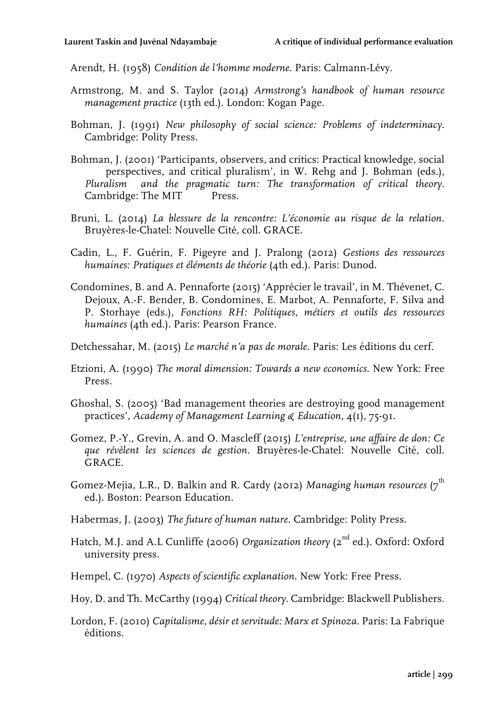Arendt, H. (1958) *Condition de l'homme moderne*. Paris: Calmann-Lévy.

- Armstrong, M. and S. Taylor (2014) *Armstrong's handbook of human resource management practice* (13th ed.). London: Kogan Page.
- Bohman, J. (1991) *New philosophy of social science: Problems of indeterminacy*. Cambridge: Polity Press.
- Bohman, J. (2001) 'Participants, observers, and critics: Practical knowledge, social perspectives, and critical pluralism', in W. Rehg and J. Bohman (eds.), *Pluralism and the pragmatic turn: The transformation of critical theory.* Cambridge: The MIT Press.
- Bruni, L. (2014) *La blessure de la rencontre: L'économie au risque de la relation*. Bruyères-le-Chatel: Nouvelle Cité, coll. GRACE.
- Cadin, L., F. Guérin, F. Pigeyre and J. Pralong (2012) *Gestions des ressources humaines: Pratiques et éléments de théorie* (4th ed.). Paris: Dunod.
- Condomines, B. and A. Pennaforte (2015) 'Apprécier le travail', in M. Thévenet, C. Dejoux, A.-F. Bender, B. Condomines, E. Marbot, A. Pennaforte, F. Silva and P. Storhaye (eds.), *Fonctions RH: Politiques, métiers et outils des ressources humaines* (4th ed.). Paris: Pearson France.
- Detchessahar, M. (2015) *Le marché n'a pas de morale*. Paris: Les éditions du cerf.
- Etzioni, A. (1990) *The moral dimension: Towards a new economics*. New York: Free Press.
- Ghoshal, S. (2005) 'Bad management theories are destroying good management practices', *Academy of Management Learning & Education*, 4(1), 75-91.
- Gomez, P.-Y., Grevin, A. and O. Mascleff (2015) *L'entreprise, une affaire de don: Ce que révèlent les sciences de gestion.* Bruyères-le-Chatel: Nouvelle Cité, coll. GRACE.
- Gomez-Mejia, L.R., D. Balkin and R. Cardy (2012) Managing human resources (7<sup>th</sup> ed.). Boston: Pearson Education.
- Habermas, J. (2003) *The future of human nature*. Cambridge: Polity Press.
- Hatch, M.J. and A.L Cunliffe (2006) *Organization theory* (2<sup>nd</sup> ed.). Oxford: Oxford university press.
- Hempel, C. (1970) *Aspects of scientific explanation*. New York: Free Press.
- Hoy, D. and Th. McCarthy (1994) *Critical theory*. Cambridge: Blackwell Publishers.
- Lordon, F. (2010) *Capitalisme, désir et servitude: Marx et Spinoza*. Paris: La Fabrique éditions.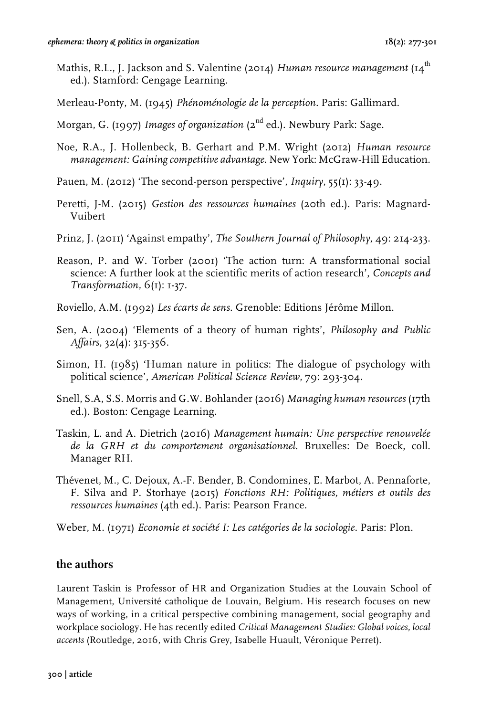- Mathis, R.L., J. Jackson and S. Valentine (2014) *Human resource management* (14<sup>th</sup> ed.). Stamford: Cengage Learning.
- Merleau-Ponty, M. (1945) *Phénoménologie de la perception*. Paris: Gallimard.
- Morgan, G. (1997) *Images of organization* (2<sup>nd</sup> ed.). Newbury Park: Sage.
- Noe, R.A., J. Hollenbeck, B. Gerhart and P.M. Wright (2012) *Human resource management: Gaining competitive advantage*. New York: McGraw-Hill Education.
- Pauen, M. (2012) 'The second-person perspective', *Inquiry*, 55(1): 33-49.
- Peretti, J-M. (2015) *Gestion des ressources humaines* (20th ed.). Paris: Magnard-Vuibert
- Prinz, J. (2011) 'Against empathy', *The Southern Journal of Philosophy*, 49: 214-233.
- Reason, P. and W. Torber (2001) 'The action turn: A transformational social science: A further look at the scientific merits of action research', *Concepts and Transformation,* 6(1): 1-37.
- Roviello, A.M. (1992) *Les écarts de sens*. Grenoble: Editions Jérôme Millon.
- Sen, A. (2004) 'Elements of a theory of human rights', *Philosophy and Public Affairs*, 32(4): 315-356.
- Simon, H. (1985) 'Human nature in politics: The dialogue of psychology with political science', *American Political Science Review*, 79: 293-304.
- Snell, S.A, S.S. Morris and G.W. Bohlander (2016) *Managing human resources* (17th ed.). Boston: Cengage Learning.
- Taskin, L. and A. Dietrich (2016) *Management humain: Une perspective renouvelée de la GRH et du comportement organisationnel*. Bruxelles: De Boeck, coll. Manager RH.
- Thévenet, M., C. Dejoux, A.-F. Bender, B. Condomines, E. Marbot, A. Pennaforte, F. Silva and P. Storhaye (2015) *Fonctions RH: Politiques, métiers et outils des ressources humaines* (4th ed.). Paris: Pearson France.
- Weber, M. (1971) *Economie et société I: Les catégories de la sociologie*. Paris: Plon.

## **the authors**

Laurent Taskin is Professor of HR and Organization Studies at the Louvain School of Management, Université catholique de Louvain, Belgium. His research focuses on new ways of working, in a critical perspective combining management, social geography and workplace sociology. He has recently edited *Critical Management Studies: Global voices, local accents* (Routledge, 2016, with Chris Grey, Isabelle Huault, Véronique Perret).